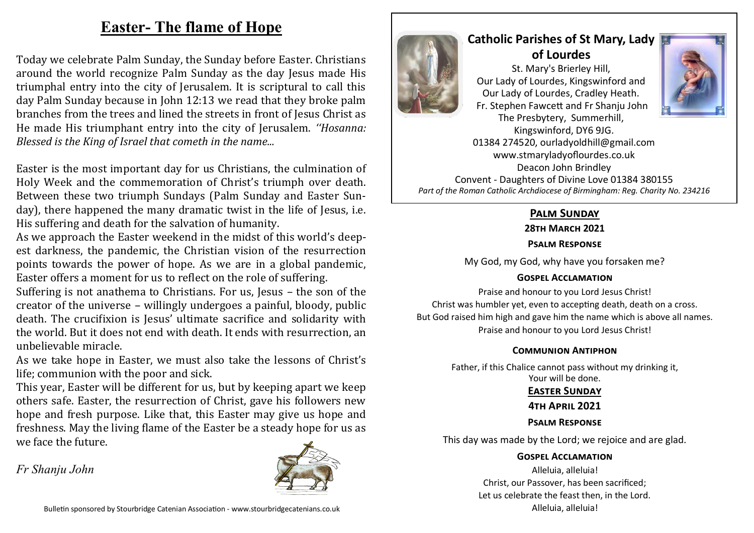# **Easter- The flame of Hope**

Today we celebrate Palm Sunday, the Sunday before Easter. Christians around the world recognize Palm Sunday as the day Jesus made His triumphal entry into the city of Jerusalem. It is scriptural to call this day Palm Sunday because in John 12:13 we read that they broke palm branches from the trees and lined the streets in front of Jesus Christ as He made His triumphant entry into the city of Jerusalem. *''Hosanna: Blessed is the King of Israel that cometh in the name...*

Easter is the most important day for us Christians, the culmination of Holy Week and the commemoration of Christ's triumph over death. Between these two triumph Sundays (Palm Sunday and Easter Sunday), there happened the many dramatic twist in the life of Jesus, i.e. His suffering and death for the salvation of humanity.

As we approach the Easter weekend in the midst of this world's deepest darkness, the pandemic, the Christian vision of the resurrection points towards the power of hope. As we are in a global pandemic, Easter offers a moment for us to reflect on the role of suffering.

Suffering is not anathema to Christians. For us, Jesus – the son of the creator of the universe – willingly undergoes a painful, bloody, public death. The crucifixion is Jesus' ultimate sacrifice and solidarity with the world. But it does not end with death. It ends with resurrection, an unbelievable miracle.

As we take hope in Easter, we must also take the lessons of Christ's life; communion with the poor and sick.

This year, Easter will be different for us, but by keeping apart we keep others safe. Easter, the resurrection of Christ, gave his followers new hope and fresh purpose. Like that, this Easter may give us hope and freshness. May the living flame of the Easter be a steady hope for us as we face the future.

*Fr Shanju John*





## **Catholic Parishes of St Mary, Lady of Lourdes**  St. Mary's Brierley Hill, Our Lady of Lourdes, Kingswinford and Our Lady of Lourdes, Cradley Heath. Fr. Stephen Fawcett and Fr Shanju John



The Presbytery, Summerhill, Kingswinford, DY6 9JG. 01384 274520, ourladyoldhill@gmail.com www.stmaryladyoflourdes.co.uk Deacon John Brindley Convent - Daughters of Divine Love 01384 380155 *Part of the Roman Catholic Archdiocese of Birmingham: Reg. Charity No. 234216*

## **Palm Sunday**

**28th March 2021**

#### **Psalm Response**

My God, my God, why have you forsaken me?

## **Gospel Acclamation**

Praise and honour to you Lord Jesus Christ! Christ was humbler yet, even to accepting death, death on a cross. But God raised him high and gave him the name which is above all names. Praise and honour to you Lord Jesus Christ!

#### **Communion Antiphon**

Father, if this Chalice cannot pass without my drinking it, Your will be done.

#### **Easter Sunday**

#### **4th April 2021**

## **Psalm Response**

This day was made by the Lord; we rejoice and are glad.

#### **Gospel Acclamation**

Alleluia, alleluia! Christ, our Passover, has been sacrificed; Let us celebrate the feast then, in the Lord. Alleluia, alleluia!